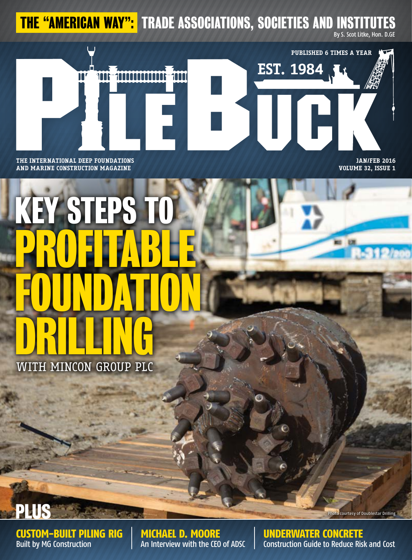THE "AMERICAN WAY": TRADE ASSOCIATIONS, SOCIETIES AND INSTITUT

By S. Scot Litke, Hon. D.GE



### **and marine construction magazine**

**jan/feb 2016 Volume 32, Issue 1**

# KEY STEPS TO PROFITABLE FOUNDAT DRILLING

With Mincon Group PLC

PLUS

custom-built piling rig Built by MG Construction

Michael D. Moore An Interview with the CEO of ADSC underwater concrete Construction Guide to Reduce Risk and Cost

Photo courtesy of Doublestar Drilling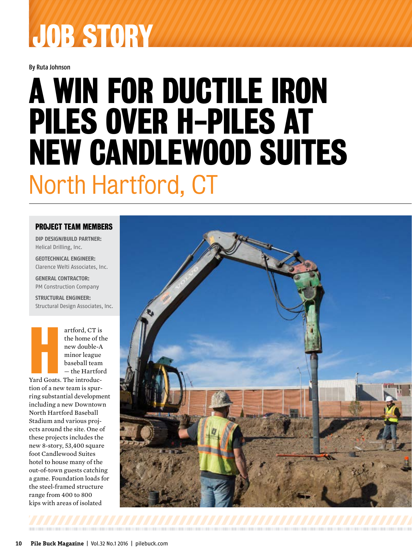## JOB STORY

By Ruta Johnson

### A Win for Ductile Iron Piles Over H-Piles at New Candlewood Suites North Hartford, CT

#### PROJECT TEAM MEMBERS

**DIP Design/Build Partner:** Helical Drilling, Inc.

**Geotechnical Engineer:** Clarence Welti Associates, Inc.

**General Contractor:**  PM Construction Company

**Structural Engineer:** Structural Design Associates, Inc.

> artford, CT is the home of the new double-A minor league baseball team — the Hartford

**Hard**<br>Yard Goats. Yard Goats. The introduction of a new team is spurring substantial development including a new Downtown North Hartford Baseball Stadium and various projects around the site. One of these projects includes the new 8-story, 53,400 square foot Candlewood Suites hotel to house many of the out-of-town guests catching a game. Foundation loads for the steel-framed structure range from 400 to 800 kips with areas of isolated

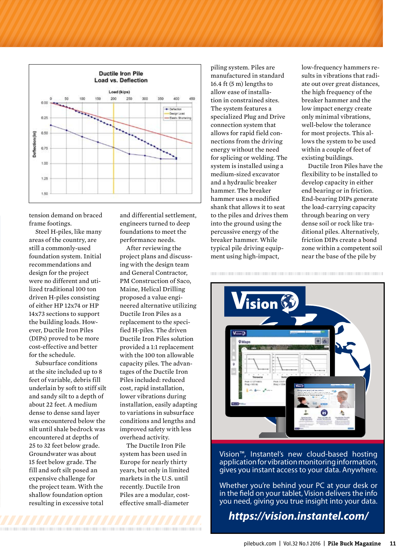

tension demand on braced frame footings.

Steel H-piles, like many areas of the country, are still a commonly-used foundation system. Initial recommendations and design for the project were no different and utilized traditional 100 ton driven H-piles consisting of either HP 12x74 or HP 14x73 sections to support the building loads. However, Ductile Iron Piles (DIPs) proved to be more cost-effective and better for the schedule.

Subsurface conditions at the site included up to 8 feet of variable, debris fill underlain by soft to stiff silt and sandy silt to a depth of about 22 feet. A medium dense to dense sand layer was encountered below the silt until shale bedrock was encountered at depths of 25 to 32 feet below grade. Groundwater was about 15 feet below grade. The fill and soft silt posed an expensive challenge for the project team. With the shallow foundation option resulting in excessive total

<u> 1999 - Andrea Brandon, american american american american american american a</u>

and differential settlement, engineers turned to deep foundations to meet the performance needs.

After reviewing the project plans and discussing with the design team and General Contractor, PM Construction of Saco, Maine, Helical Drilling proposed a value engineered alternative utilizing Ductile Iron Piles as a replacement to the specified H-piles. The driven Ductile Iron Piles solution provided a 1:1 replacement with the 100 ton allowable capacity piles. The advantages of the Ductile Iron Piles included: reduced cost, rapid installation, lower vibrations during installation, easily adapting to variations in subsurface conditions and lengths and improved safety with less overhead activity.

The Ductile Iron Pile system has been used in Europe for nearly thirty years, but only in limited markets in the U.S. until recently. Ductile Iron Piles are a modular, costeffective small-diameter

piling system. Piles are manufactured in standard 16.4 ft (5 m) lengths to allow ease of installation in constrained sites. The system features a specialized Plug and Drive connection system that allows for rapid field connections from the driving energy without the need for splicing or welding. The system is installed using a medium-sized excavator and a hydraulic breaker hammer. The breaker hammer uses a modified shank that allows it to seat to the piles and drives them into the ground using the percussive energy of the breaker hammer. While typical pile driving equipment using high-impact,

low-frequency hammers results in vibrations that radiate out over great distances, the high frequency of the breaker hammer and the low impact energy create only minimal vibrations, well-below the tolerance for most projects. This allows the system to be used within a couple of feet of existing buildings.

Ductile Iron Piles have the flexibility to be installed to develop capacity in either end bearing or in friction. End-bearing DIPs generate the load-carrying capacity through bearing on very dense soil or rock like traditional piles. Alternatively, friction DIPs create a bond zone within a competent soil near the base of the pile by



Vision™, Instantel's new cloud-based hosting application for vibration monitoring information, gives you instant access to your data. Anywhere.

Whether you're behind your PC at your desk or in the field on your tablet, Vision delivers the info you need, giving you true insight into your data.

*https://vision.instantel.com/*